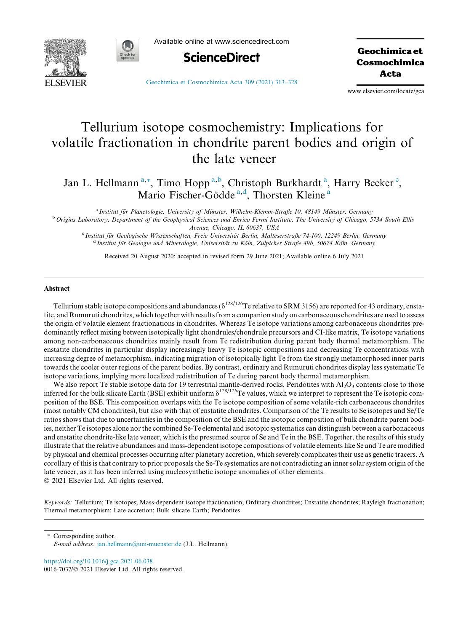



Available online at www.sciencedirect.com



Geochimica et Cosmochimica Acta

[Geochimica et Cosmochimica Acta 309 \(2021\) 313–328](https://doi.org/10.1016/j.gca.2021.06.038)

www.elsevier.com/locate/gca

# Tellurium isotope cosmochemistry: Implications for volatile fractionation in chondrite parent bodies and origin of the late veneer

Jan L. Hellmann<sup>a,\*</sup>, Timo Hopp<sup>a,b</sup>, Christoph Burkhardt<sup>a</sup>, Harry Becker<sup>c</sup>, Mario Fischer-Gödde<sup>a,d</sup>, Thorsten Kleine<sup>a</sup>

<sup>a</sup> Institut für Planetologie, University of Münster, Wilhelm-Klemm-Straße 10, 48149 Münster, Germany<br><sup>b</sup> Origins Laboratory, Department of the Geophysical Sciences and Enrico Fermi Institute, The University of Chicago, 57 Avenue, Chicago, IL 60637, USA

<sup>c</sup> Institut für Geologische Wissenschaften, Freie Universität Berlin, Malteserstraße 74-100, 12249 Berlin, Germany d Institut für Geologie und Mineralogie, Universität zu Köln, Zülpicher Straße 49b, 50674 Köln, Germany

Received 20 August 2020; accepted in revised form 29 June 2021; Available online 6 July 2021

#### Abstract

Tellurium stable isotope compositions and abundances ( $\delta^{128/126}$ Te relative to SRM 3156) are reported for 43 ordinary, enstatite, and Rumuruti chondrites, which together with results from a companion study on carbonaceous chondrites are used to assess the origin of volatile element fractionations in chondrites. Whereas Te isotope variations among carbonaceous chondrites predominantly reflect mixing between isotopically light chondrules/chondrule precursors and CI-like matrix, Te isotope variations among non-carbonaceous chondrites mainly result from Te redistribution during parent body thermal metamorphism. The enstatite chondrites in particular display increasingly heavy Te isotopic compositions and decreasing Te concentrations with increasing degree of metamorphism, indicating migration of isotopically light Te from the strongly metamorphosed inner parts towards the cooler outer regions of the parent bodies. By contrast, ordinary and Rumuruti chondrites display less systematic Te isotope variations, implying more localized redistribution of Te during parent body thermal metamorphism.

We also report Te stable isotope data for 19 terrestrial mantle-derived rocks. Peridotites with  $Al_2O_3$  contents close to those inferred for the bulk silicate Earth (BSE) exhibit uniform  $\delta^{128/126}$ Te values, which we interpret to represent the Te isotopic composition of the BSE. This composition overlaps with the Te isotope composition of some volatile-rich carbonaceous chondrites (most notably CM chondrites), but also with that of enstatite chondrites. Comparison of the Te results to Se isotopes and Se/Te ratios shows that due to uncertainties in the composition of the BSE and the isotopic composition of bulk chondrite parent bodies, neither Te isotopes alone nor the combined Se-Te elemental and isotopic systematics can distinguish between a carbonaceous and enstatite chondrite-like late veneer, which is the presumed source of Se and Te in the BSE. Together, the results of this study illustrate that the relative abundances and mass-dependent isotope compositions of volatile elements like Se and Te are modified by physical and chemical processes occurring after planetary accretion, which severely complicates their use as genetic tracers. A corollary of this is that contrary to prior proposals the Se-Te systematics are not contradicting an inner solar system origin of the late veneer, as it has been inferred using nucleosynthetic isotope anomalies of other elements. 2021 Elsevier Ltd. All rights reserved.

Keywords: Tellurium; Te isotopes; Mass-dependent isotope fractionation; Ordinary chondrites; Enstatite chondrites; Rayleigh fractionation; Thermal metamorphism; Late accretion; Bulk silicate Earth; Peridotites

\* Corresponding author. E-mail address: [jan.hellmann@uni-muenster.de](mailto:jan.hellmann@uni-muenster.de) (J.L. Hellmann).

<https://doi.org/10.1016/j.gca.2021.06.038> 0016-7037/© 2021 Elsevier Ltd. All rights reserved.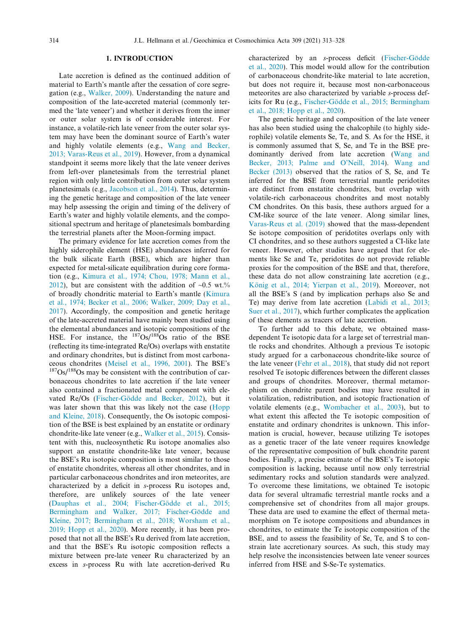## 1. INTRODUCTION

Late accretion is defined as the continued addition of material to Earth's mantle after the cessation of core segregation (e.g., [Walker, 2009\)](#page-15-0). Understanding the nature and composition of the late-accreted material (commonly termed the 'late veneer') and whether it derives from the inner or outer solar system is of considerable interest. For instance, a volatile-rich late veneer from the outer solar system may have been the dominant source of Earth's water and highly volatile elements (e.g., [Wang and Becker,](#page-15-0) [2013; Varas-Reus et al., 2019\)](#page-15-0). However, from a dynamical standpoint it seems more likely that the late veneer derives from left-over planetesimals from the terrestrial planet region with only little contribution from outer solar system planetesimals (e.g., [Jacobson et al., 2014\)](#page-14-0). Thus, determining the genetic heritage and composition of the late veneer may help assessing the origin and timing of the delivery of Earth's water and highly volatile elements, and the compositional spectrum and heritage of planetesimals bombarding the terrestrial planets after the Moon-forming impact.

The primary evidence for late accretion comes from the highly siderophile element (HSE) abundances inferred for the bulk silicate Earth (BSE), which are higher than expected for metal-silicate equilibration during core formation (e.g., [Kimura et al., 1974; Chou, 1978; Mann et al.,](#page-14-0) [2012\)](#page-14-0), but are consistent with the addition of  $\sim 0.5$  wt.% of broadly chondritic material to Earth's mantle ([Kimura](#page-14-0) [et al., 1974; Becker et al., 2006; Walker, 2009; Day et al.,](#page-14-0) [2017\)](#page-14-0). Accordingly, the composition and genetic heritage of the late-accreted material have mainly been studied using the elemental abundances and isotopic compositions of the HSE. For instance, the  $187Os/188Os$  ratio of the BSE (reflecting its time-integrated Re/Os) overlaps with enstatite and ordinary chondrites, but is distinct from most carbona-ceous chondrites [\(Meisel et al., 1996, 2001](#page-15-0)). The BSE's  $187\text{Os}/188\text{Os}$  may be consistent with the contribution of carbonaceous chondrites to late accretion if the late veneer also contained a fractionated metal component with elevated Re/Os (Fischer-Gödde and Becker, 2012), but it was later shown that this was likely not the case ([Hopp](#page-14-0) [and Kleine, 2018](#page-14-0)). Consequently, the Os isotopic composition of the BSE is best explained by an enstatite or ordinary chondrite-like late veneer (e.g., [Walker et al., 2015\)](#page-15-0). Consistent with this, nucleosynthetic Ru isotope anomalies also support an enstatite chondrite-like late veneer, because the BSE's Ru isotopic composition is most similar to those of enstatite chondrites, whereas all other chondrites, and in particular carbonaceous chondrites and iron meteorites, are characterized by a deficit in s-process Ru isotopes and, therefore, are unlikely sources of the late veneer (Dauphas et al., 2004; Fischer-Gödde et al., 2015; Bermingham and Walker, 2017; Fischer-Gödde and [Kleine, 2017; Bermingham et al., 2018; Worsham et al.,](#page-14-0) [2019; Hopp et al., 2020\)](#page-14-0). More recently, it has been proposed that not all the BSE's Ru derived from late accretion, and that the BSE's Ru isotopic composition reflects a mixture between pre-late veneer Ru characterized by an excess in s-process Ru with late accretion-derived Ru

characterized by an s-process deficit (Fischer-Gödde [et al., 2020\)](#page-14-0). This model would allow for the contribution of carbonaceous chondrite-like material to late accretion, but does not require it, because most non-carbonaceous meteorites are also characterized by variable s-process deficits for Ru (e.g., Fischer-Gödde et al., 2015; Bermingham [et al., 2018; Hopp et al., 2020\)](#page-14-0).

The genetic heritage and composition of the late veneer has also been studied using the chalcophile (to highly siderophile) volatile elements Se, Te, and S. As for the HSE, it is commonly assumed that S, Se, and Te in the BSE predominantly derived from late accretion ([Wang and](#page-15-0) [Becker, 2013; Palme and O'Neill, 2014](#page-15-0)). [Wang and](#page-15-0) [Becker \(2013\)](#page-15-0) observed that the ratios of S, Se, and Te inferred for the BSE from terrestrial mantle peridotites are distinct from enstatite chondrites, but overlap with volatile-rich carbonaceous chondrites and most notably CM chondrites. On this basis, these authors argued for a CM-like source of the late veneer. Along similar lines, [Varas-Reus et al. \(2019\)](#page-15-0) showed that the mass-dependent Se isotope composition of peridotites overlaps only with CI chondrites, and so these authors suggested a CI-like late veneer. However, other studies have argued that for elements like Se and Te, peridotites do not provide reliable proxies for the composition of the BSE and that, therefore, these data do not allow constraining late accretion (e.g., König et al., 2014; Yierpan et al., 2019). Moreover, not all the BSE's S (and by implication perhaps also Se and Te) may derive from late accretion [\(Labidi et al., 2013;](#page-14-0) [Suer et al., 2017\)](#page-14-0), which further complicates the application of these elements as tracers of late accretion.

To further add to this debate, we obtained massdependent Te isotopic data for a large set of terrestrial mantle rocks and chondrites. Although a previous Te isotopic study argued for a carbonaceous chondrite-like source of the late veneer ([Fehr et al., 2018\)](#page-14-0), that study did not report resolved Te isotopic differences between the different classes and groups of chondrites. Moreover, thermal metamorphism on chondrite parent bodies may have resulted in volatilization, redistribution, and isotopic fractionation of volatile elements (e.g., [Wombacher et al., 2003](#page-15-0)), but to what extent this affected the Te isotopic composition of enstatite and ordinary chondrites is unknown. This information is crucial, however, because utilizing Te isotopes as a genetic tracer of the late veneer requires knowledge of the representative composition of bulk chondrite parent bodies. Finally, a precise estimate of the BSE's Te isotopic composition is lacking, because until now only terrestrial sedimentary rocks and solution standards were analyzed. To overcome these limitations, we obtained Te isotopic data for several ultramafic terrestrial mantle rocks and a comprehensive set of chondrites from all major groups. These data are used to examine the effect of thermal metamorphism on Te isotope compositions and abundances in chondrites, to estimate the Te isotopic composition of the BSE, and to assess the feasibility of Se, Te, and S to constrain late accretionary sources. As such, this study may help resolve the inconsistencies between late veneer sources inferred from HSE and S-Se-Te systematics.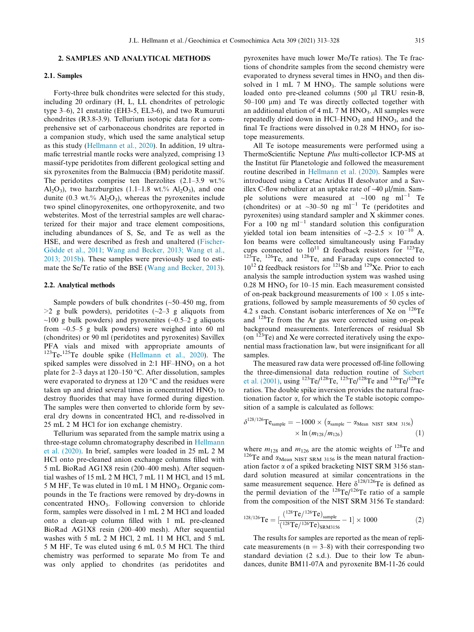## 2. SAMPLES AND ANALYTICAL METHODS

#### 2.1. Samples

Forty-three bulk chondrites were selected for this study, including 20 ordinary (H, L, LL chondrites of petrologic type 3–6), 21 enstatite (EH3-5, EL3-6), and two Rumuruti chondrites (R3.8-3.9). Tellurium isotopic data for a comprehensive set of carbonaceous chondrites are reported in a companion study, which used the same analytical setup as this study [\(Hellmann et al., 2020](#page-14-0)). In addition, 19 ultramafic terrestrial mantle rocks were analyzed, comprising 13 massif-type peridotites from different geological setting and six pyroxenites from the Balmuccia (BM) peridotite massif. The peridotites comprise ten lherzolites  $(2.1-3.9 \text{ wt.})\%$ Al<sub>2</sub>O<sub>3</sub>), two harzburgites  $(1.1-1.8 \text{ wt.})\%$  Al<sub>2</sub>O<sub>3</sub>), and one dunite (0.3 wt.%  $Al_2O_3$ ), whereas the pyroxenites include two spinel clinopyroxenites, one orthopyroxenite, and two websterites. Most of the terrestrial samples are well characterized for their major and trace element compositions, including abundances of S, Se, and Te as well as the HSE, and were described as fresh and unaltered [\(Fischer-](#page-14-0)Gödde et al., 2011; Wang and Becker, 2013; Wang et al., [2013; 2015b\)](#page-14-0). These samples were previously used to estimate the Se/Te ratio of the BSE [\(Wang and Becker, 2013](#page-15-0)).

#### 2.2. Analytical methods

Sample powders of bulk chondrites (~50–450 mg, from  $>2$  g bulk powders), peridotites ( $\sim$ 2–3 g aliquots from  $\sim$ 100 g bulk powders) and pyroxenites ( $\sim$ 0.5–2 g aliquots from  $\sim 0.5-5$  g bulk powders) were weighed into 60 ml (chondrites) or 90 ml (peridotites and pyroxenites) Savillex PFA vials and mixed with appropriate amounts of <sup>123</sup>Te-<sup>125</sup>Te double spike [\(Hellmann et al., 2020](#page-14-0)). The spiked samples were dissolved in  $2:1$  HF–HNO<sub>3</sub> on a hot plate for  $2-3$  days at  $120-150$  °C. After dissolution, samples were evaporated to dryness at 120  $\degree$ C and the residues were taken up and dried several times in concentrated  $HNO<sub>3</sub>$  to destroy fluorides that may have formed during digestion. The samples were then converted to chloride form by several dry downs in concentrated HCl, and re-dissolved in 25 mL 2 M HCl for ion exchange chemistry.

Tellurium was separated from the sample matrix using a three-stage column chromatography described in [Hellmann](#page-14-0) [et al. \(2020\).](#page-14-0) In brief, samples were loaded in 25 mL 2 M HCl onto pre-cleaned anion exchange columns filled with 5 mL BioRad AG1X8 resin (200–400 mesh). After sequential washes of 15 mL 2 M HCl, 7 mL 11 M HCl, and 15 mL  $5 M$  HF, Te was eluted in 10 mL 1 M HNO<sub>3</sub>. Organic compounds in the Te fractions were removed by dry-downs in concentrated HNO<sub>3</sub>. Following conversion to chloride form, samples were dissolved in 1 mL 2 M HCl and loaded onto a clean-up column filled with 1 mL pre-cleaned BioRad AG1X8 resin (200–400 mesh). After sequential washes with 5 mL 2 M HCl, 2 mL 11 M HCl, and 5 mL 5 M HF, Te was eluted using 6 mL 0.5 M HCl. The third chemistry was performed to separate Mo from Te and was only applied to chondrites (as peridotites and

pyroxenites have much lower Mo/Te ratios). The Te fractions of chondrite samples from the second chemistry were evaporated to dryness several times in  $HNO<sub>3</sub>$  and then dissolved in 1 mL 7 M HNO<sub>3</sub>. The sample solutions were loaded onto pre-cleaned columns (500 µl TRU resin-B,  $50-100 \mu m$ ) and Te was directly collected together with an additional elution of  $4 \text{ mL}$  7 M HNO<sub>3</sub>. All samples were repeatedly dried down in  $HCl-HNO<sub>3</sub>$  and  $HNO<sub>3</sub>$ , and the final Te fractions were dissolved in  $0.28$  M HNO<sub>3</sub> for isotope measurements.

All Te isotope measurements were performed using a ThermoScientific Neptune Plus multi-collector ICP-MS at the Institut für Planetologie and followed the measurement routine described in [Hellmann et al. \(2020\)](#page-14-0). Samples were introduced using a Cetac Aridus II desolvator and a Savillex C-flow nebulizer at an uptake rate of  $\sim$ 40  $\mu$ l/min. Sample solutions were measured at  $\sim 100$  ng ml<sup>-1</sup> Te (chondrites) or at  $\sim$ 30–50 ng ml<sup>-1</sup> Te (peridotites and pyroxenites) using standard sampler and X skimmer cones. For a 100 ng  $ml^{-1}$  standard solution this configuration yielded total ion beam intensities of  $\sim$ 2–2.5  $\times$  10<sup>-10</sup> A. Ion beams were collected simultaneously using Faraday cups connected to  $10^{11} \Omega$  feedback resistors for <sup>123</sup>Te, cups connected to  $10^{11}$   $\Omega$  feedback resistors for <sup>123</sup>Te,  $125$ Te,  $126$ Te, and  $128$ Te, and Faraday cups connected to  $10^{12}$  Q feedback resistors for <sup>121</sup>Sb and <sup>129</sup>Xe. Prior to each analysis the sample introduction system was washed using  $0.28$  M HNO<sub>3</sub> for 10-15 min. Each measurement consisted of on-peak background measurements of  $100 \times 1.05$  s integrations, followed by sample measurements of 50 cycles of 4.2 s each. Constant isobaric interferences of Xe on 126Te and 128Te from the Ar gas were corrected using on-peak background measurements. Interferences of residual Sb (on  $123$ Te) and Xe were corrected iteratively using the exponential mass fractionation law, but were insignificant for all samples.

The measured raw data were processed off-line following the three-dimensional data reduction routine of [Siebert](#page-15-0) [et al. \(2001\),](#page-15-0) using  $^{123}$ Te/ $^{128}$ Te,  $^{125}$ Te/ $^{128}$ Te and  $^{126}$ Te/ $^{128}$ Te ratios. The double spike inversion provides the natural fractionation factor  $\alpha$ , for which the Te stable isotopic composition of a sample is calculated as follows:

$$
\delta^{128/126}\text{Te}_{\text{sample}} = -1000 \times \left(\alpha_{\text{sample}} - \alpha_{\text{Mean NIST SRM 3156}}\right) \times \ln \left(m_{128}/m_{126}\right) \tag{1}
$$

where  $m_{128}$  and  $m_{126}$  are the atomic weights of <sup>128</sup>Te and <sup>126</sup>Te and  $\alpha_{\text{Mean NIST SRM 3156}}$  is the mean natural fractionation factor  $\alpha$  of a spiked bracketing NIST SRM 3156 standard solution measured at similar concentrations in the same measurement sequence. Here  $\delta^{128/126}$ Te is defined as the permil deviation of the  $128$ Te/ $126$ Te ratio of a sample from the composition of the NIST SRM 3156 Te standard:

$$
^{128/126}\text{Te} = \left[\frac{(^{128}\text{Te}/^{126}\text{Te})_{\text{sample}}}{(^{128}\text{Te}/^{126}\text{Te})_{\text{SRM3156}}} - 1\right] \times 1000\tag{2}
$$

The results for samples are reported as the mean of replicate measurements ( $n = 3-8$ ) with their corresponding two standard deviation (2 s.d.). Due to their low Te abundances, dunite BM11-07A and pyroxenite BM-11-26 could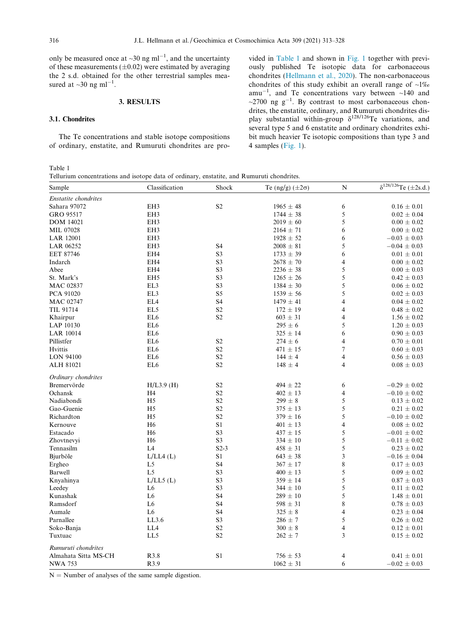<span id="page-3-0"></span>only be measured once at  $\sim 30$  ng ml<sup>-1</sup>, and the uncertainty of these measurements  $(\pm 0.02)$  were estimated by averaging the 2 s.d. obtained for the other terrestrial samples measured at  $\sim$ 30 ng ml<sup>-1</sup>.

## 3. RESULTS

## 3.1. Chondrites

The Te concentrations and stable isotope compositions of ordinary, enstatite, and Rumuruti chondrites are pro-

vided in Table 1 and shown in [Fig. 1](#page-4-0) together with previously published Te isotopic data for carbonaceous chondrites [\(Hellmann et al., 2020](#page-14-0)). The non-carbonaceous chondrites of this study exhibit an overall range of  $\sim$ 1% amu<sup>-1</sup>, and Te concentrations vary between  $\sim$ 140 and  $\sim$ 2700 ng g<sup>-1</sup>. By contrast to most carbonaceous chondrites, the enstatite, ordinary, and Rumuruti chondrites display substantial within-group  $\delta^{128/126}$ Te variations, and several type 5 and 6 enstatite and ordinary chondrites exhibit much heavier Te isotopic compositions than type 3 and 4 samples [\(Fig. 1](#page-4-0)).

#### Table 1

Tellurium concentrations and isotope data of ordinary, enstatite, and Rumuruti chondrites.

| Sample               | Classification  | Shock          | Te (ng/g) $(\pm 2\sigma)$ | ${\bf N}$                | $\delta^{128/126}$ Te (±2s.d.) |
|----------------------|-----------------|----------------|---------------------------|--------------------------|--------------------------------|
| Enstatite chondrites |                 |                |                           |                          |                                |
| Sahara 97072         | EH3             | S <sub>2</sub> | $1965 \pm 48$             | 6                        | $0.16 \pm 0.01$                |
| GRO 95517            | EH3             |                | $1744 \pm 38$             | 5                        | $0.02 \pm 0.04$                |
| <b>DOM 14021</b>     | EH3             |                | $2019 \pm 60$             | 5                        | $0.00\,\pm\,0.02$              |
| MIL 07028            | EH3             |                | $2164 \pm 71$             | 6                        | $0.00 \pm 0.02$                |
| <b>LAR 12001</b>     | EH3             |                | $1928 \pm 52$             | 6                        | $-0.03 \pm 0.03$               |
| LAR 06252            | EH3             | S4             | $2008\,\pm\,81$           | 5                        | $-0.04 \pm 0.03$               |
| EET 87746            | EH4             | S <sub>3</sub> | $1733 \pm 39$             | 6                        | $0.01 \pm 0.01$                |
| Indarch              | EH4             | S <sub>3</sub> | $2678 \pm 70$             | $\overline{4}$           | $0.00 \pm 0.02$                |
| Abee                 | EH4             | S <sub>3</sub> | $2236 \pm 38$             | 5                        | $0.00 \pm 0.03$                |
| St. Mark's           | EH <sub>5</sub> | S <sub>3</sub> | $1265 \pm 26$             | 5                        | $0.42 \pm 0.03$                |
| <b>MAC 02837</b>     | EL3             | S <sub>3</sub> | $1384 \pm 30$             | 5                        | $0.06 \pm 0.02$                |
| PCA 91020            | EL3             | S5             | $1539 \pm 56$             | 5                        | $0.02 \pm 0.03$                |
| <b>MAC 02747</b>     | EL4             | S4             | $1479 \pm 41$             | $\overline{\mathcal{L}}$ | $0.04 \pm 0.02$                |
| TIL 91714            | EL5             | S <sub>2</sub> | $172 \pm 19$              | $\overline{4}$           | $0.48 \pm 0.02$                |
| Khairpur             | EL <sub>6</sub> | S <sub>2</sub> | $603 \pm 31$              | $\overline{4}$           | $1.56 \pm 0.02$                |
| LAP 10130            | EL <sub>6</sub> |                | $295 \pm 6$               | 5                        | $1.20 \pm 0.03$                |
| <b>LAR 10014</b>     | EL <sub>6</sub> |                | $325 \pm 14$              | 6                        | $0.90 \pm 0.03$                |
| Pillistfer           | EL <sub>6</sub> | S <sub>2</sub> | $274 \pm 6$               | $\overline{4}$           | $0.70 \pm 0.01$                |
| Hvittis              | EL <sub>6</sub> | S <sub>2</sub> | $471 \pm 15$              | $\overline{7}$           | $0.60 \pm 0.03$                |
| <b>LON 94100</b>     | EL <sub>6</sub> | S <sub>2</sub> | $144 \pm 4$               | $\overline{4}$           | $0.56 \pm 0.03$                |
| ALH 81021            | EL <sub>6</sub> | S <sub>2</sub> | $148 \pm 4$               | $\overline{4}$           | $0.08 \pm 0.03$                |
| Ordinary chondrites  |                 |                |                           |                          |                                |
| Bremervörde          | $H/L3.9$ (H)    | S <sub>2</sub> | $494 \pm 22$              | 6                        | $-0.29 \pm 0.02$               |
| Ochansk              | H4              | S <sub>2</sub> | $402 \pm 13$              | $\overline{4}$           | $-0.10 \pm 0.02$               |
| Nadiabondi           | H <sub>5</sub>  | S <sub>2</sub> | $299 \pm 8$               | 5                        | $0.13 \pm 0.02$                |
| Gao-Guenie           | H <sub>5</sub>  | S <sub>2</sub> | $375 \pm 13$              | 5                        | $0.21 \pm 0.02$                |
| Richardton           | H <sub>5</sub>  | S <sub>2</sub> | $379 \pm 16$              | 5                        | $-0.10 \pm 0.02$               |
| Kernouve             | H <sub>6</sub>  | S1             | $401 \pm 13$              | $\overline{\mathcal{L}}$ | $0.08 \pm 0.02$                |
| Estacado             | H <sub>6</sub>  | S <sub>3</sub> | $437 \pm 15$              | 5                        | $-0.01 \pm 0.02$               |
| Zhovtnevyi           | H <sub>6</sub>  | S <sub>3</sub> | $334 \pm 10$              | 5                        | $-0.11 \pm 0.02$               |
| Tennasilm            | L4              | $S2-3$         | $458 \pm 31$              | 5                        | $0.23 \pm 0.02$                |
| Bjurböle             | L/LL4(L)        | S1             | $643 \pm 38$              | 3                        | $-0.16 \pm 0.04$               |
| Ergheo               | L <sub>5</sub>  | S4             | $367 \pm 17$              | $\,$ 8 $\,$              | $0.17 \pm 0.03$                |
| Barwell              | L <sub>5</sub>  | S <sub>3</sub> | $400 \pm 13$              | 5                        | $0.09 \pm 0.02$                |
| Knyahinya            | $L/LL5$ (L)     | S <sub>3</sub> | $359 \pm 14$              | 5                        | $0.87 \pm 0.03$                |
| Leedey               | L <sub>6</sub>  | S <sub>3</sub> | $344 \pm 10$              | 5                        | $0.11 \pm 0.02$                |
| Kunashak             | L <sub>6</sub>  | S4             | $289 \pm 10$              | 5                        | $1.48 \pm 0.01$                |
| Ramsdorf             | L <sub>6</sub>  | S4             | $598 \pm 31$              | 8                        | $0.78 \pm 0.03$                |
| Aumale               | L <sub>6</sub>  | S4             | $325 \pm 8$               | $\overline{4}$           | $0.23 \pm 0.04$                |
| Parnallee            | LL3.6           | S <sub>3</sub> | $286 \pm 7$               | 5                        | $0.26 \pm 0.02$                |
| Soko-Banja           | LL4             | S <sub>2</sub> | $300 \pm 8$               | $\overline{4}$           | $0.12 \pm 0.01$                |
| Tuxtuac              | LL5             | S <sub>2</sub> | $262 \pm 7$               | 3                        | $0.15 \pm 0.02$                |
| Rumuruti chondrites  |                 |                |                           |                          |                                |
| Almahata Sitta MS-CH | R3.8            | S1             | $756 \pm 53$              | 4                        | $0.41 \pm 0.01$                |
| <b>NWA 753</b>       | R3.9            |                | $1062 \pm 31$             | 6                        | $-0.02 \pm 0.03$               |

 $N =$  Number of analyses of the same sample digestion.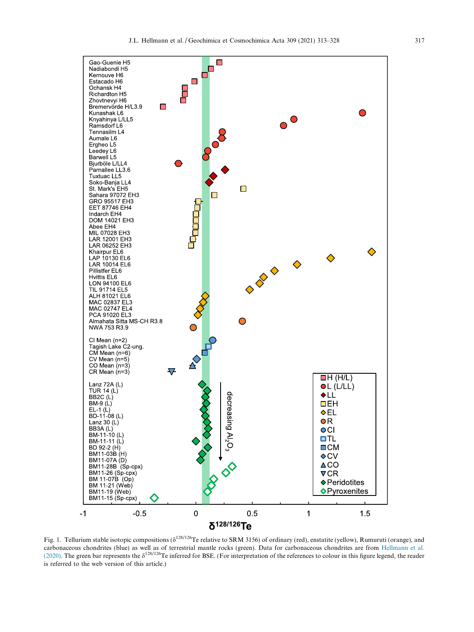<span id="page-4-0"></span>

Fig. 1. Tellurium stable isotopic compositions ( $\delta^{128/126}$ Te relative to SRM 3156) of ordinary (red), enstatite (yellow), Rumuruti (orange), and carbonaceous chondrites (blue) as well as of terrestrial mantle rocks (green). Data for carbonaceous chondrites are from [Hellmann et al.](#page-14-0) [\(2020\)](#page-14-0). The green bar represents the  $\delta^{128/126}$ Te inferred for BSE. (For interpretation of the references to colour in this figure legend, the reader is referred to the web version of this article.)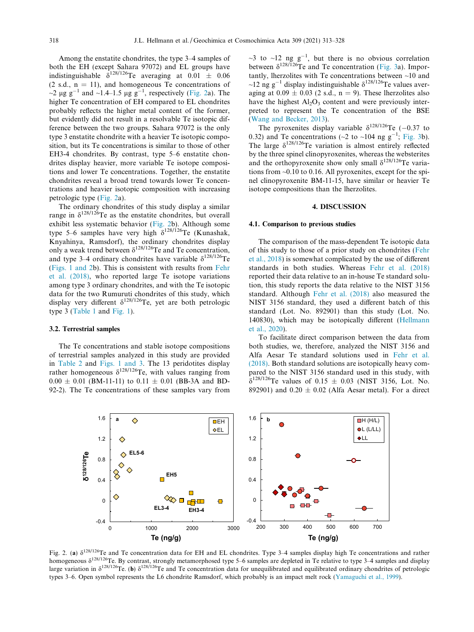<span id="page-5-0"></span>Among the enstatite chondrites, the type 3–4 samples of both the EH (except Sahara 97072) and EL groups have indistinguishable  $\delta^{128/126}$ Te averaging at 0.01  $\pm$  0.06  $(2 \text{ s.d., n} = 11)$ , and homogeneous Te concentrations of  $\sim$ 2 µg g<sup>-1</sup> and  $\sim$ 1.4–1.5 µg g<sup>-1</sup>, respectively (Fig. 2a). The higher Te concentration of EH compared to EL chondrites probably reflects the higher metal content of the former, but evidently did not result in a resolvable Te isotopic difference between the two groups. Sahara 97072 is the only type 3 enstatite chondrite with a heavier Te isotopic composition, but its Te concentrations is similar to those of other EH3-4 chondrites. By contrast, type 5–6 enstatite chondrites display heavier, more variable Te isotope compositions and lower Te concentrations. Together, the enstatite chondrites reveal a broad trend towards lower Te concentrations and heavier isotopic composition with increasing petrologic type (Fig. 2a).

The ordinary chondrites of this study display a similar range in  $\delta^{128/126}$ Te as the enstatite chondrites, but overall exhibit less systematic behavior (Fig. 2b). Although some type 5–6 samples have very high  $\delta^{128/126}$ Te (Kunashak, Knyahinya, Ramsdorf), the ordinary chondrites display only a weak trend between  $\delta^{128/126}$ Te and Te concentration, and type 3–4 ordinary chondrites have variable  $\delta^{128/126}$ Te ([Figs. 1 and 2b](#page-4-0)). This is consistent with results from [Fehr](#page-14-0) [et al. \(2018\)](#page-14-0), who reported large Te isotope variations among type 3 ordinary chondrites, and with the Te isotopic data for the two Rumuruti chondrites of this study, which display very different  $\delta^{128/126}$ Te, yet are both petrologic type 3 ([Table 1](#page-3-0) and [Fig. 1\)](#page-4-0).

## 3.2. Terrestrial samples

The Te concentrations and stable isotope compositions of terrestrial samples analyzed in this study are provided in [Table 2](#page-6-0) and [Figs. 1 and 3](#page-4-0). The 13 peridotites display rather homogeneous  $\delta^{128/126}$ Te, with values ranging from  $0.00 \pm 0.01$  (BM-11-11) to  $0.11 \pm 0.01$  (BB-3A and BD-92-2). The Te concentrations of these samples vary from

 $\sim$ 3 to  $\sim$ 12 ng g<sup>-1</sup>, but there is no obvious correlation between  $\delta^{128/126}$ Te and Te concentration ([Fig. 3a](#page-6-0)). Importantly, lherzolites with Te concentrations between ~10 and ~12 ng  $g^{-1}$  display indistinguishable  $\delta^{128/126}$ Te values averaging at  $0.09 \pm 0.03$  (2 s.d., n = 9). These lherzolites also have the highest  $Al_2O_3$  content and were previously interpreted to represent the Te concentration of the BSE ([Wang and Becker, 2013](#page-15-0)).

The pyroxenites display variable  $\delta^{128/126}$ Te (-0.37 to 0.32) and Te concentrations ( $\sim$ 2 to  $\sim$ 104 ng g<sup>-1</sup>; [Fig. 3b](#page-6-0)). The large  $\delta^{128/126}$ Te variation is almost entirely reflected by the three spinel clinopyroxenites, whereas the websterites and the orthopyroxenite show only small  $\delta^{128/126}$ Te variations from ~0.10 to 0.16. All pyroxenites, except for the spinel clinopyroxenite BM-11-15, have similar or heavier Te isotope compositions than the lherzolites.

#### 4. DISCUSSION

## 4.1. Comparison to previous studies

The comparison of the mass-dependent Te isotopic data of this study to those of a prior study on chondrites ([Fehr](#page-14-0) [et al., 2018](#page-14-0)) is somewhat complicated by the use of different standards in both studies. Whereas [Fehr et al. \(2018\)](#page-14-0) reported their data relative to an in-house Te standard solution, this study reports the data relative to the NIST 3156 standard. Although [Fehr et al. \(2018\)](#page-14-0) also measured the NIST 3156 standard, they used a different batch of this standard (Lot. No. 892901) than this study (Lot. No. 140830), which may be isotopically different [\(Hellmann](#page-14-0) [et al., 2020](#page-14-0)).

To facilitate direct comparison between the data from both studies, we, therefore, analyzed the NIST 3156 and Alfa Aesar Te standard solutions used in [Fehr et al.](#page-14-0) [\(2018\).](#page-14-0) Both standard solutions are isotopically heavy compared to the NIST 3156 standard used in this study, with  $\delta^{128/126}$ Te values of 0.15  $\pm$  0.03 (NIST 3156, Lot. No. 892901) and  $0.20 \pm 0.02$  (Alfa Aesar metal). For a direct



Fig. 2. (a)  $\delta^{128/126}$ Te and Te concentration data for EH and EL chondrites. Type 3–4 samples display high Te concentrations and rather homogeneous  $\delta^{128/126}$ Te. By contrast, strongly metamorphosed type 5–6 samples are depleted in Te relative to type 3–4 samples and display large variation in  $\delta^{128/126}$ Te. (b)  $\delta^{128/126}$ Te and Te concentration data for unequilibrated and equilibrated ordinary chondrites of petrologic types 3–6. Open symbol represents the L6 chondrite Ramsdorf, which probably is an impact melt rock ([Yamaguchi et al., 1999](#page-15-0)).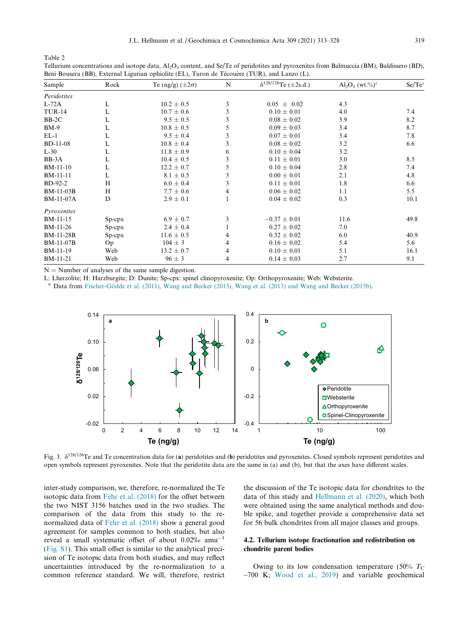<span id="page-6-0"></span>Table 2 Tellurium concentrations and isotope data,  $A_1O_3$  content, and Se/Te of peridotites and pyroxenites from Balmuccia (BM), Baldissero (BD),

Beni Bousera (BB), External Ligurian ophiolite (EL), Turon de Técouère (TUR), and Lanzo (L).

| Sample           | Rock         | Te (ng/g) $(\pm 2\sigma)$ | N | $\sqrt{\delta^{128/126}}$ Te (±2s.d.) | $Al_2O_3$ (wt.%) <sup>a</sup> | $Se/Te^a$ |
|------------------|--------------|---------------------------|---|---------------------------------------|-------------------------------|-----------|
| Peridotites      |              |                           |   |                                       |                               |           |
| $L-72A$          | L            | $10.2 \pm 0.5$            | 3 | $0.05 \pm 0.02$                       | 4.3                           |           |
| <b>TUR-14</b>    | L            | $10.7 \pm 0.6$            | 3 | $0.10 \pm 0.01$                       | 4.0                           | 7.4       |
| $BB-2C$          | L            | $9.5 \pm 0.5$             | 3 | $0.08 \pm 0.02$                       | 3.9                           | 8.2       |
| $BM-9$           | L            | $10.8 \pm 0.5$            | 5 | $0.09 \pm 0.03$                       | 3.4                           | 8.7       |
| $EL-1$           | L            | $9.5 \pm 0.4$             | 3 | $0.07 \pm 0.01$                       | 3.4                           | 7.8       |
| <b>BD-11-08</b>  | L            | $10.8 \pm 0.4$            | 3 | $0.08 \pm 0.02$                       | 3.2                           | 6.6       |
| $L-30$           | L            | $11.8 \pm 0.9$            | 6 | $0.10 \pm 0.04$                       | 3.2                           |           |
| $BB-3A$          | L            | $10.4 \pm 0.5$            | 3 | $0.11 \pm 0.01$                       | 3.0                           | 8.5       |
| BM-11-10         | L            | $12.2 \pm 0.7$            | 5 | $0.10 \pm 0.04$                       | 2.8                           | 7.4       |
| BM-11-11         | L            | $8.1 \pm 0.5$             | 3 | $0.00 \pm 0.01$                       | 2.1                           | 4.8       |
| <b>BD-92-2</b>   | H            | $6.0 \pm 0.4$             | 3 | $0.11 \pm 0.01$                       | 1.8                           | 6.6       |
| <b>BM-11-03B</b> | H            | $7.7 \pm 0.6$             | 4 | $0.06 \pm 0.02$                       | 1.1                           | 5.5       |
| <b>BM-11-07A</b> | D            | $2.9 \pm 0.1$             |   | $0.04 \pm 0.02$                       | 0.3                           | 10.1      |
| Pyroxenites      |              |                           |   |                                       |                               |           |
| BM-11-15         | $Sp$ - $cpx$ | $6.9 \pm 0.7$             | 3 | $-0.37 \pm 0.01$                      | 11.6                          | 49.8      |
| BM-11-26         | $Sp$ - $cpx$ | $2.4 \pm 0.4$             |   | $0.27 \pm 0.02$                       | 7.0                           |           |
| <b>BM-11-28B</b> | $Sp-cpx$     | $11.6 \pm 0.5$            | 4 | $0.32 \pm 0.02$                       | 6.0                           | 40.9      |
| <b>BM-11-07B</b> | Op           | $104 \pm 3$               | 4 | $0.16 \pm 0.02$                       | 5.4                           | 5.6       |
| BM-11-19         | Web          | $13.2 \pm 0.7$            | 4 | $0.10 \pm 0.01$                       | 5.1                           | 16.1      |
| <b>BM-11-21</b>  | Web          | $96 \pm 3$                | 4 | $0.14 \pm 0.03$                       | 2.7                           | 9.1       |

 $N =$  Number of analyses of the same sample digestion.

L: Lherzolite; H: Harzburgite; D: Dunite; Sp-cpx: spinel clinopyroxenite; Op: Orthopyroxenite; Web: Websterite.

<sup>a</sup> Data from Fischer-Gödde et al. (2011), Wang and Becker (2013), Wang et al. (2013) and Wang and Becker (2015b).



Fig. 3.  $\delta^{128/126}$ Te and Te concentration data for (a) peridotites and (b) peridotites and pyroxenites. Closed symbols represent peridotites and open symbols represent pyroxenites. Note that the peridotite data are the same in (a) and (b), but that the axes have different scales.

inter-study comparison, we, therefore, re-normalized the Te isotopic data from [Fehr et al. \(2018\)](#page-14-0) for the offset between the two NIST 3156 batches used in the two studies. The comparison of the data from this study to the renormalized data of [Fehr et al. \(2018\)](#page-14-0) show a general good agreement for samples common to both studies, but also reveal a small systematic offset of about  $0.02\%$  amu<sup>-1</sup> [\(Fig. S1\)](#page-14-0). This small offset is similar to the analytical precision of Te isotopic data from both studies, and may reflect uncertainties introduced by the re-normalization to a common reference standard. We will, therefore, restrict

the discussion of the Te isotopic data for chondrites to the data of this study and [Hellmann et al. \(2020\)](#page-14-0), which both were obtained using the same analytical methods and double spike, and together provide a comprehensive data set for 56 bulk chondrites from all major classes and groups.

## 4.2. Tellurium isotope fractionation and redistribution on chondrite parent bodies

Owing to its low condensation temperature (50%  $T_c$ )  $\sim$ 700 K; [Wood et al., 2019](#page-15-0)) and variable geochemical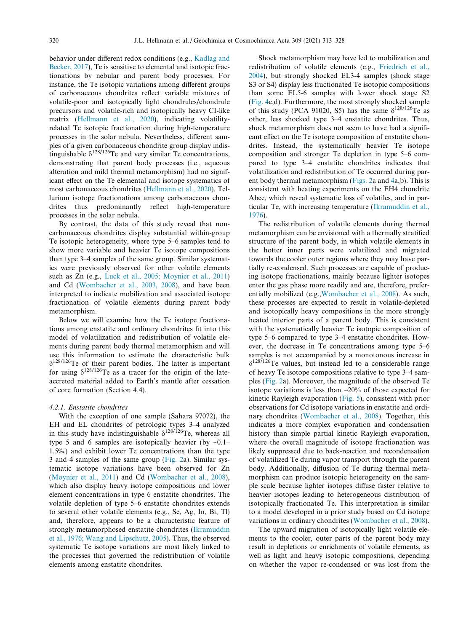behavior under different redox conditions (e.g., [Kadlag and](#page-14-0) [Becker, 2017\)](#page-14-0), Te is sensitive to elemental and isotopic fractionations by nebular and parent body processes. For instance, the Te isotopic variations among different groups of carbonaceous chondrites reflect variable mixtures of volatile-poor and isotopically light chondrules/chondrule precursors and volatile-rich and isotopically heavy CI-like matrix [\(Hellmann et al., 2020\)](#page-14-0), indicating volatilityrelated Te isotopic fractionation during high-temperature processes in the solar nebula. Nevertheless, different samples of a given carbonaceous chondrite group display indistinguishable  $\delta^{128/126}$ Te and very similar Te concentrations, demonstrating that parent body processes (i.e., aqueous alteration and mild thermal metamorphism) had no significant effect on the Te elemental and isotope systematics of most carbonaceous chondrites ([Hellmann et al., 2020\)](#page-14-0). Tellurium isotope fractionations among carbonaceous chondrites thus predominantly reflect high-temperature processes in the solar nebula.

By contrast, the data of this study reveal that noncarbonaceous chondrites display substantial within-group Te isotopic heterogeneity, where type 5–6 samples tend to show more variable and heavier Te isotope compositions than type 3–4 samples of the same group. Similar systematics were previously observed for other volatile elements such as Zn (e.g., [Luck et al., 2005; Moynier et al., 2011\)](#page-15-0) and Cd [\(Wombacher et al., 2003, 2008\)](#page-15-0), and have been interpreted to indicate mobilization and associated isotope fractionation of volatile elements during parent body metamorphism.

Below we will examine how the Te isotope fractionations among enstatite and ordinary chondrites fit into this model of volatilization and redistribution of volatile elements during parent body thermal metamorphism and will use this information to estimate the characteristic bulk  $\delta^{128/126}$ Te of their parent bodies. The latter is important for using  $\delta^{128/126}$ Te as a tracer for the origin of the lateaccreted material added to Earth's mantle after cessation of core formation (Section 4.4).

#### 4.2.1. Enstatite chondrites

With the exception of one sample (Sahara 97072), the EH and EL chondrites of petrologic types 3–4 analyzed in this study have indistinguishable  $\delta^{128/126}$ Te, whereas all type 5 and 6 samples are isotopically heavier (by  $\sim 0.1$ – 1.5‰) and exhibit lower Te concentrations than the type 3 and 4 samples of the same group [\(Fig. 2](#page-5-0)a). Similar systematic isotope variations have been observed for Zn ([Moynier et al., 2011\)](#page-15-0) and Cd ([Wombacher et al., 2008\)](#page-15-0), which also display heavy isotope compositions and lower element concentrations in type 6 enstatite chondrites. The volatile depletion of type 5–6 enstatite chondrites extends to several other volatile elements (e.g., Se, Ag, In, Bi, Tl) and, therefore, appears to be a characteristic feature of strongly metamorphosed enstatite chondrites [\(Ikramuddin](#page-14-0) [et al., 1976; Wang and Lipschutz, 2005](#page-14-0)). Thus, the observed systematic Te isotope variations are most likely linked to the processes that governed the redistribution of volatile elements among enstatite chondrites.

Shock metamorphism may have led to mobilization and redistribution of volatile elements (e.g., [Friedrich et al.,](#page-14-0) [2004\)](#page-14-0), but strongly shocked EL3-4 samples (shock stage S3 or S4) display less fractionated Te isotopic compositions than some EL5-6 samples with lower shock stage S2 ([Fig. 4c](#page-8-0),d). Furthermore, the most strongly shocked sample of this study (PCA 91020, S5) has the same  $\delta^{128/126}$ Te as other, less shocked type 3–4 enstatite chondrites. Thus, shock metamorphism does not seem to have had a significant effect on the Te isotope composition of enstatite chondrites. Instead, the systematically heavier Te isotope composition and stronger Te depletion in type 5–6 compared to type 3–4 enstatite chondrites indicates that volatilization and redistribution of Te occurred during parent body thermal metamorphism ([Figs. 2](#page-5-0)a and [4a](#page-8-0),b). This is consistent with heating experiments on the EH4 chondrite Abee, which reveal systematic loss of volatiles, and in particular Te, with increasing temperature [\(Ikramuddin et al.,](#page-14-0) [1976\)](#page-14-0).

The redistribution of volatile elements during thermal metamorphism can be envisioned with a thermally stratified structure of the parent body, in which volatile elements in the hotter inner parts were volatilized and migrated towards the cooler outer regions where they may have partially re-condensed. Such processes are capable of producing isotope fractionations, mainly because lighter isotopes enter the gas phase more readily and are, therefore, preferentially mobilized (e.g.,[Wombacher et al., 2008\)](#page-15-0). As such, these processes are expected to result in volatile-depleted and isotopically heavy compositions in the more strongly heated interior parts of a parent body. This is consistent with the systematically heavier Te isotopic composition of type 5–6 compared to type 3–4 enstatite chondrites. However, the decrease in Te concentrations among type 5–6 samples is not accompanied by a monotonous increase in  $\delta^{128/126}$ Te values, but instead led to a considerable range of heavy Te isotope compositions relative to type 3–4 samples [\(Fig. 2a](#page-5-0)). Moreover, the magnitude of the observed Te isotope variations is less than ~20% of those expected for kinetic Rayleigh evaporation ([Fig. 5](#page-9-0)), consistent with prior observations for Cd isotope variations in enstatite and ordinary chondrites ([Wombacher et al., 2008\)](#page-15-0). Together, this indicates a more complex evaporation and condensation history than simple partial kinetic Rayleigh evaporation, where the overall magnitude of isotope fractionation was likely suppressed due to back-reaction and recondensation of volatilized Te during vapor transport through the parent body. Additionally, diffusion of Te during thermal metamorphism can produce isotopic heterogeneity on the sample scale because lighter isotopes diffuse faster relative to heavier isotopes leading to heterogeneous distribution of isotopically fractionated Te. This interpretation is similar to a model developed in a prior study based on Cd isotope variations in ordinary chondrites ([Wombacher et al., 2008\)](#page-15-0).

The upward migration of isotopically light volatile elements to the cooler, outer parts of the parent body may result in depletions or enrichments of volatile elements, as well as light and heavy isotopic compositions, depending on whether the vapor re-condensed or was lost from the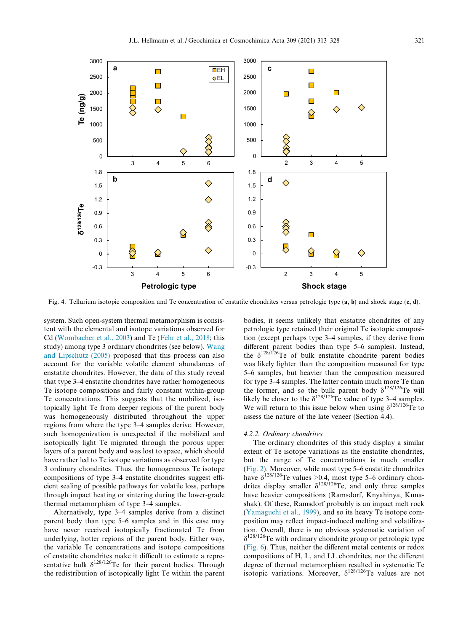<span id="page-8-0"></span>

Fig. 4. Tellurium isotopic composition and Te concentration of enstatite chondrites versus petrologic type (a, b) and shock stage (c, d).

system. Such open-system thermal metamorphism is consistent with the elemental and isotope variations observed for Cd [\(Wombacher et al., 2003](#page-15-0)) and Te [\(Fehr et al., 2018;](#page-14-0) this study) among type 3 ordinary chondrites (see below). [Wang](#page-15-0) [and Lipschutz \(2005\)](#page-15-0) proposed that this process can also account for the variable volatile element abundances of enstatite chondrites. However, the data of this study reveal that type 3–4 enstatite chondrites have rather homogeneous Te isotope compositions and fairly constant within-group Te concentrations. This suggests that the mobilized, isotopically light Te from deeper regions of the parent body was homogeneously distributed throughout the upper regions from where the type 3–4 samples derive. However, such homogenization is unexpected if the mobilized and isotopically light Te migrated through the porous upper layers of a parent body and was lost to space, which should have rather led to Te isotope variations as observed for type 3 ordinary chondrites. Thus, the homogeneous Te isotope compositions of type 3–4 enstatite chondrites suggest efficient sealing of possible pathways for volatile loss, perhaps through impact heating or sintering during the lower-grade thermal metamorphism of type 3–4 samples.

Alternatively, type 3–4 samples derive from a distinct parent body than type 5–6 samples and in this case may have never received isotopically fractionated Te from underlying, hotter regions of the parent body. Either way, the variable Te concentrations and isotope compositions of enstatite chondrites make it difficult to estimate a representative bulk  $\delta^{128/126}$ Te for their parent bodies. Through the redistribution of isotopically light Te within the parent bodies, it seems unlikely that enstatite chondrites of any petrologic type retained their original Te isotopic composition (except perhaps type 3–4 samples, if they derive from different parent bodies than type 5–6 samples). Instead, the  $\delta^{128/126}$ Te of bulk enstatite chondrite parent bodies was likely lighter than the composition measured for type 5–6 samples, but heavier than the composition measured for type 3–4 samples. The latter contain much more Te than the former, and so the bulk parent body  $\delta^{128/126}$ Te will likely be closer to the  $\delta^{128/126}$ Te value of type 3–4 samples. We will return to this issue below when using  $\delta^{128/126}$ Te to assess the nature of the late veneer (Section 4.4).

## 4.2.2. Ordinary chondrites

The ordinary chondrites of this study display a similar extent of Te isotope variations as the enstatite chondrites, but the range of Te concentrations is much smaller [\(Fig. 2](#page-5-0)). Moreover, while most type 5–6 enstatite chondrites have  $\delta^{128/126}$ Te values >0.4, most type 5–6 ordinary chondrites display smaller  $\delta^{128/126}$ Te, and only three samples have heavier compositions (Ramsdorf, Knyahinya, Kunashak). Of these, Ramsdorf probably is an impact melt rock [\(Yamaguchi et al., 1999](#page-15-0)), and so its heavy Te isotope composition may reflect impact-induced melting and volatilization. Overall, there is no obvious systematic variation of  $\delta^{128/126}$ Te with ordinary chondrite group or petrologic type [\(Fig. 6\)](#page-9-0). Thus, neither the different metal contents or redox compositions of H, L, and LL chondrites, nor the different degree of thermal metamorphism resulted in systematic Te isotopic variations. Moreover,  $\delta^{128/126}$ Te values are not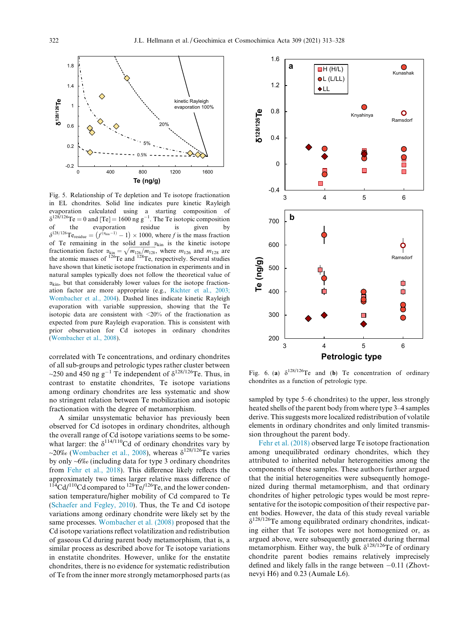<span id="page-9-0"></span>

Fig. 5. Relationship of Te depletion and Te isotope fractionation in EL chondrites. Solid line indicates pure kinetic Rayleigh evaporation calculated using a starting composition of  $\delta^{128/126}$ Te = 0 and ITel = 1600 ng  $\sigma^{-1}$  The Te isotonic composition  $\delta^{128/126}$ Te = 0 and [Te] = 1600 ng g<sup>-1</sup>. The Te isotopic composition of the evaporation residue is given by<br>  $\delta^{128/126}T\text{e}_{\text{residue}} = (f^{(\alpha_{\text{kin}}-1)} - 1) \times 1000$ , where f is the mass fraction of Te remaining in the solid and  $\alpha_{\text{kin}}$  is the kinetic isotope fractionation factor  $\alpha_{\text{kin}} = \sqrt{m_{126}/m_{128}}$ , where  $m_{126}$  and  $m_{128}$  are the atomic masses of  $^{126}$ Te and  $^{128}$ Te, respectively. Several studies have shown that kinetic isotope fractionation in experiments and in natural samples typically does not follow the theoretical value of  $\alpha_{\rm kin}$ , but that considerably lower values for the isotope fractionation factor are more appropriate (e.g., [Richter et al., 2003;](#page-15-0) [Wombacher et al., 2004](#page-15-0)). Dashed lines indicate kinetic Rayleigh evaporation with variable suppression, showing that the Te isotopic data are consistent with <20% of the fractionation as expected from pure Rayleigh evaporation. This is consistent with prior observation for Cd isotopes in ordinary chondrites [\(Wombacher et al., 2008](#page-15-0)).

correlated with Te concentrations, and ordinary chondrites of all sub-groups and petrologic types rather cluster between ~250 and 450 ng g<sup>-1</sup> Te independent of  $\delta^{128/126}$ Te. Thus, in contrast to enstatite chondrites, Te isotope variations among ordinary chondrites are less systematic and show no stringent relation between Te mobilization and isotopic fractionation with the degree of metamorphism.

A similar unsystematic behavior has previously been observed for Cd isotopes in ordinary chondrites, although the overall range of Cd isotope variations seems to be somewhat larger: the  $\delta^{114/110}$ Cd of ordinary chondrites vary by ~20‰ ([Wombacher et al., 2008\)](#page-15-0), whereas  $\delta^{128/126}$ Te varies by only ~6‰ (including data for type 3 ordinary chondrites from [Fehr et al., 2018](#page-14-0)). This difference likely reflects the approximately two times larger relative mass difference of  $114 \text{Cd}/110 \text{Cd}$  compared to  $128 \text{Te}/126 \text{Te}$ , and the lower condensation temperature/higher mobility of Cd compared to Te ([Schaefer and Fegley, 2010](#page-15-0)). Thus, the Te and Cd isotope variations among ordinary chondrite were likely set by the same processes. [Wombacher et al. \(2008\)](#page-15-0) proposed that the Cd isotope variations reflect volatilization and redistribution of gaseous Cd during parent body metamorphism, that is, a similar process as described above for Te isotope variations in enstatite chondrites. However, unlike for the enstatite chondrites, there is no evidence for systematic redistribution of Te from the inner more strongly metamorphosed parts (as



Fig. 6. (a)  $\delta^{128/126}$ Te and (b) Te concentration of ordinary chondrites as a function of petrologic type.

sampled by type 5–6 chondrites) to the upper, less strongly heated shells of the parent body from where type 3–4 samples derive. This suggests more localized redistribution of volatile elements in ordinary chondrites and only limited transmission throughout the parent body.

[Fehr et al. \(2018\)](#page-14-0) observed large Te isotope fractionation among unequilibrated ordinary chondrites, which they attributed to inherited nebular heterogeneities among the components of these samples. These authors further argued that the initial heterogeneities were subsequently homogenized during thermal metamorphism, and that ordinary chondrites of higher petrologic types would be most representative for the isotopic composition of their respective parent bodies. However, the data of this study reveal variable  $\delta^{128/126}$ Te among equilibrated ordinary chondrites, indicating either that Te isotopes were not homogenized or, as argued above, were subsequently generated during thermal metamorphism. Either way, the bulk  $\delta^{128/126}$ Te of ordinary chondrite parent bodies remains relatively imprecisely defined and likely falls in the range between  $-0.11$  (Zhovtnevyi H6) and 0.23 (Aumale L6).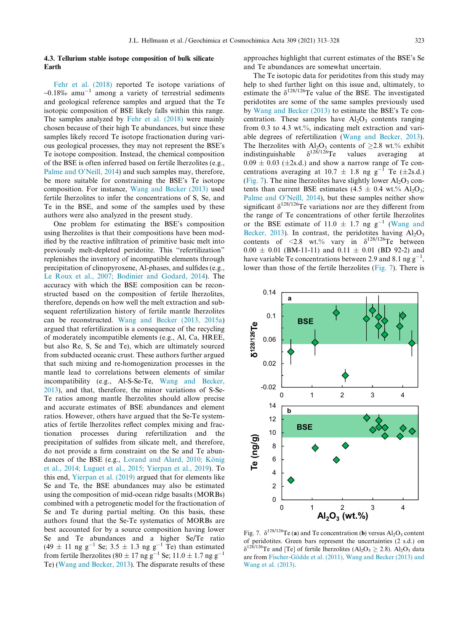### <span id="page-10-0"></span>4.3. Tellurium stable isotope composition of bulk silicate Earth

[Fehr et al. \(2018\)](#page-14-0) reported Te isotope variations of  $~18\%$  amu<sup>-1</sup> among a variety of terrestrial sediments and geological reference samples and argued that the Te isotopic composition of BSE likely falls within this range. The samples analyzed by [Fehr et al. \(2018\)](#page-14-0) were mainly chosen because of their high Te abundances, but since these samples likely record Te isotope fractionation during various geological processes, they may not represent the BSE's Te isotope composition. Instead, the chemical composition of the BSE is often inferred based on fertile lherzolites (e.g., [Palme and O'Neill, 2014](#page-15-0)) and such samples may, therefore, be more suitable for constraining the BSE's Te isotope composition. For instance, [Wang and Becker \(2013\)](#page-15-0) used fertile lherzolites to infer the concentrations of S, Se, and Te in the BSE, and some of the samples used by these authors were also analyzed in the present study.

One problem for estimating the BSE's composition using lherzolites is that their compositions have been modified by the reactive infiltration of primitive basic melt into previously melt-depleted peridotite. This ''refertilization" replenishes the inventory of incompatible elements through precipitation of clinopyroxene, Al-phases, and sulfides (e.g., [Le Roux et al., 2007; Bodinier and Godard, 2014\)](#page-14-0). The accuracy with which the BSE composition can be reconstructed based on the composition of fertile lherzolites, therefore, depends on how well the melt extraction and subsequent refertilization history of fertile mantle lherzolites can be reconstructed. [Wang and Becker \(2013, 2015a](#page-15-0)) argued that refertilization is a consequence of the recycling of moderately incompatible elements (e.g., Al, Ca, HREE, but also Re, S, Se and Te), which are ultimately sourced from subducted oceanic crust. These authors further argued that such mixing and re-homogenization processes in the mantle lead to correlations between elements of similar incompatibility (e.g., Al-S-Se-Te, [Wang and Becker,](#page-15-0) [2013](#page-15-0)), and that, therefore, the minor variations of S-Se-Te ratios among mantle lherzolites should allow precise and accurate estimates of BSE abundances and element ratios. However, others have argued that the Se-Te systematics of fertile lherzolites reflect complex mixing and fractionation processes during refertilization and the precipitation of sulfides from silicate melt, and therefore, do not provide a firm constraint on the Se and Te abundances of the BSE (e.g., Lorand and Alard, 2010; König [et al., 2014; Luguet et al., 2015; Yierpan et al., 2019\)](#page-14-0). To this end, [Yierpan et al. \(2019\)](#page-15-0) argued that for elements like Se and Te, the BSE abundances may also be estimated using the composition of mid-ocean ridge basalts (MORBs) combined with a petrogenetic model for the fractionation of Se and Te during partial melting. On this basis, these authors found that the Se-Te systematics of MORBs are best accounted for by a source composition having lower Se and Te abundances and a higher Se/Te ratio  $(49 \pm 11 \text{ ng g}^{-1} \text{ Se}; 3.5 \pm 1.3 \text{ ng g}^{-1} \text{ Te})$  than estimated from fertile lherzolites (80  $\pm$  17 ng g<sup>-1</sup> Se; 11.0  $\pm$  1.7 ng g<sup>-1</sup> Te) [\(Wang and Becker, 2013\)](#page-15-0). The disparate results of these approaches highlight that current estimates of the BSE's Se and Te abundances are somewhat uncertain.

The Te isotopic data for peridotites from this study may help to shed further light on this issue and, ultimately, to estimate the  $\delta^{128/126}$ Te value of the BSE. The investigated peridotites are some of the same samples previously used by [Wang and Becker \(2013\)](#page-15-0) to estimate the BSE's Te concentration. These samples have  $Al_2O_3$  contents ranging from 0.3 to 4.3 wt.%, indicating melt extraction and variable degrees of refertilization ([Wang and Becker, 2013](#page-15-0)). The lherzolites with Al<sub>2</sub>O<sub>3</sub> contents of  $\geq$ 2.8 wt.% exhibit indistinguishable  $\delta^{128/126}$ Te values averaging at indistinguishable  $0.09 \pm 0.03$  ( $\pm 2$ s.d.) and show a narrow range of Te concentrations averaging at 10.7  $\pm$  1.8 ng g<sup>-1</sup> Te ( $\pm$ 2s.d.) (Fig. 7). The nine lherzolites have slightly lower  $A<sub>1</sub>O<sub>3</sub>$  contents than current BSE estimates (4.5  $\pm$  0.4 wt.% Al<sub>2</sub>O<sub>3</sub>; [Palme and O'Neill, 2014\)](#page-15-0), but these samples neither show significant  $\delta^{128/126}$ Te variations nor are they different from the range of Te concentrations of other fertile lherzolites or the BSE estimate of 11.0  $\pm$  1.7 ng g<sup>-1</sup> [\(Wang and](#page-15-0) [Becker, 2013](#page-15-0)). In contrast, the peridotites having  $Al_2O_3$ contents of <2.8 wt.% vary in  $\delta^{128/126}$ Te between  $0.00 \pm 0.01$  (BM-11-11) and  $0.11 \pm 0.01$  (BD 92-2) and have variable Te concentrations between 2.9 and 8.1 ng  $g^{-1}$ , lower than those of the fertile lherzolites (Fig. 7). There is



Fig. 7.  $\delta^{128/126}$ Te (a) and Te concentration (b) versus Al<sub>2</sub>O<sub>3</sub> content of peridotites. Green bars represent the uncertainties (2 s.d.) on  $\delta^{128/126}$ Te and [Te] of fertile lherzolites (Al<sub>2</sub>O<sub>3</sub>  $\geq$  2.8). Al<sub>2</sub>O<sub>3</sub> data are from Fischer-Gödde et al. (2011), Wang and Becker (2013) and [Wang et al. \(2013\)](#page-14-0).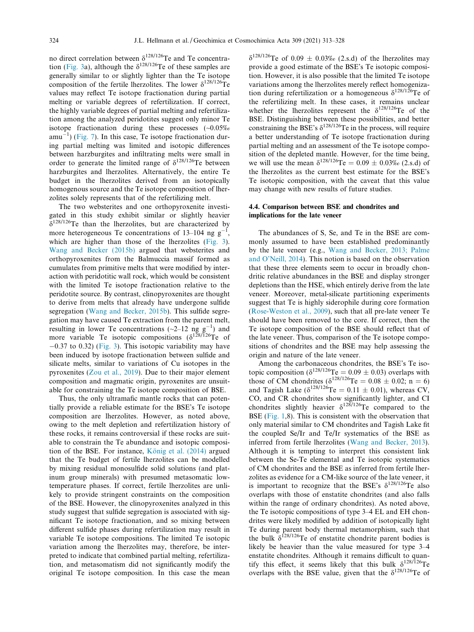no direct correlation between  $\delta^{128/126}$ Te and Te concentra-tion [\(Fig. 3a](#page-6-0)), although the  $\delta^{128/126}$ Te of these samples are generally similar to or slightly lighter than the Te isotope composition of the fertile lherzolites. The lower  $\delta^{128/126}$ Te values may reflect Te isotope fractionation during partial melting or variable degrees of refertilization. If correct, the highly variable degrees of partial melting and refertilization among the analyzed peridotites suggest only minor Te isotope fractionation during these processes (~0.05‰  $amu^{-1}$ ) [\(Fig. 7\)](#page-10-0). In this case, Te isotope fractionation during partial melting was limited and isotopic differences between harzburgites and infiltrating melts were small in order to generate the limited range of  $\delta^{128/126}$ Te between harzburgites and lherzolites. Alternatively, the entire Te budget in the lherzolites derived from an isotopically homogenous source and the Te isotope composition of lherzolites solely represents that of the refertilizing melt.

The two websterites and one orthopyroxenite investigated in this study exhibit similar or slightly heavier  $\delta^{128/126}$ Te than the lherzolites, but are characterized by more heterogeneous Te concentrations of 13–104 ng  $g^-$ , which are higher than those of the lherzolites ([Fig. 3\)](#page-6-0). [Wang and Becker \(2015b\)](#page-15-0) argued that websterites and orthopyroxenites from the Balmuccia massif formed as cumulates from primitive melts that were modified by interaction with peridotitic wall rock, which would be consistent with the limited Te isotope fractionation relative to the peridotite source. By contrast, clinopyroxenites are thought to derive from melts that already have undergone sulfide segregation ([Wang and Becker, 2015b\)](#page-15-0). This sulfide segregation may have caused Te extraction from the parent melt, resulting in lower Te concentrations ( $\sim$ 2–12 ng g<sup>-1</sup>) and more variable Te isotopic compositions  $(\delta^{128/126}Te)$  of  $-0.37$  to 0.32) [\(Fig. 3](#page-6-0)). This isotopic variability may have been induced by isotope fractionation between sulfide and silicate melts, similar to variations of Cu isotopes in the pyroxenites ([Zou et al., 2019\)](#page-15-0). Due to their major element composition and magmatic origin, pyroxenites are unsuitable for constraining the Te isotope composition of BSE.

Thus, the only ultramafic mantle rocks that can potentially provide a reliable estimate for the BSE's Te isotope composition are lherzolites. However, as noted above, owing to the melt depletion and refertilization history of these rocks, it remains controversial if these rocks are suitable to constrain the Te abundance and isotopic composition of the BSE. For instance, König et al.  $(2014)$  argued that the Te budget of fertile lherzolites can be modelled by mixing residual monosulfide solid solutions (and platinum group minerals) with presumed metasomatic lowtemperature phases. If correct, fertile lherzolites are unlikely to provide stringent constraints on the composition of the BSE. However, the clinopyroxenites analyzed in this study suggest that sulfide segregation is associated with significant Te isotope fractionation, and so mixing between different sulfide phases during refertilization may result in variable Te isotope compositions. The limited Te isotopic variation among the lherzolites may, therefore, be interpreted to indicate that combined partial melting, refertilization, and metasomatism did not significantly modify the original Te isotope composition. In this case the mean  $\delta^{128/126}$ Te of 0.09  $\pm$  0.03‰ (2.s.d) of the lherzolites may provide a good estimate of the BSE's Te isotopic composition. However, it is also possible that the limited Te isotope variations among the lherzolites merely reflect homogenization during refertilization or a homogeneous  $\delta^{128/126}$ Te of the refertilizing melt. In these cases, it remains unclear whether the lherzolites represent the  $\delta^{128/126}$ Te of the BSE. Distinguishing between these possibilities, and better constraining the BSE's  $\delta^{128/126}$ Te in the process, will require a better understanding of Te isotope fractionation during partial melting and an assessment of the Te isotope composition of the depleted mantle. However, for the time being, we will use the mean  $\delta^{128/126}$ Te = 0.09  $\pm$  0.03‰ (2.s.d) of the lherzolites as the current best estimate for the BSE's Te isotopic composition, with the caveat that this value may change with new results of future studies.

## 4.4. Comparison between BSE and chondrites and implications for the late veneer

The abundances of S, Se, and Te in the BSE are commonly assumed to have been established predominantly by the late veneer (e.g., [Wang and Becker, 2013; Palme](#page-15-0) [and O'Neill, 2014\)](#page-15-0). This notion is based on the observation that these three elements seem to occur in broadly chondritic relative abundances in the BSE and display stronger depletions than the HSE, which entirely derive from the late veneer. Moreover, metal-silicate partitioning experiments suggest that Te is highly siderophile during core formation ([Rose-Weston et al., 2009](#page-15-0)), such that all pre-late veneer Te should have been removed to the core. If correct, then the Te isotope composition of the BSE should reflect that of the late veneer. Thus, comparison of the Te isotope compositions of chondrites and the BSE may help assessing the origin and nature of the late veneer.

Among the carbonaceous chondrites, the BSE's Te isotopic composition ( $\delta^{128/126}$ Te = 0.09  $\pm$  0.03) overlaps with those of CM chondrites  $(\delta^{128/126}Te = 0.08 \pm 0.02; n = 6)$ and Tagish Lake  $(\delta^{128/126}$ Te = 0.11  $\pm$  0.01), whereas CV, CO, and CR chondrites show significantly lighter, and CI chondrites slightly heavier  $\delta^{128/126}$ Te compared to the BSE ([Fig. 1](#page-4-0),8). This is consistent with the observation that only material similar to CM chondrites and Tagish Lake fit the coupled Se/Ir and Te/Ir systematics of the BSE as inferred from fertile lherzolites [\(Wang and Becker, 2013\)](#page-15-0). Although it is tempting to interpret this consistent link between the Se-Te elemental and Te isotopic systematics of CM chondrites and the BSE as inferred from fertile lherzolites as evidence for a CM-like source of the late veneer, it is important to recognize that the BSE's  $\delta^{128/126}$ Te also overlaps with those of enstatite chondrites (and also falls within the range of ordinary chondrites). As noted above, the Te isotopic compositions of type 3–4 EL and EH chondrites were likely modified by addition of isotopically light Te during parent body thermal metamorphism, such that the bulk  $\delta^{128/126}$ Te of enstatite chondrite parent bodies is likely be heavier than the value measured for type 3–4 enstatite chondrites. Although it remains difficult to quantify this effect, it seems likely that this bulk  $\delta^{128/126}$ Te overlaps with the BSE value, given that the  $\delta^{128/126}$ Te of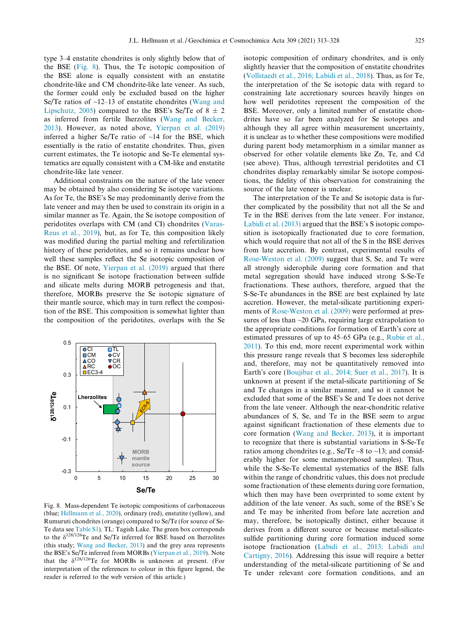type 3–4 enstatite chondrites is only slightly below that of the BSE (Fig. 8). Thus, the Te isotopic composition of the BSE alone is equally consistent with an enstatite chondrite-like and CM chondrite-like late veneer. As such, the former could only be excluded based on the higher Se/Te ratios of  $\sim$ 12–13 of enstatite chondrites ([Wang and](#page-15-0) [Lipschutz, 2005](#page-15-0)) compared to the BSE's Se/Te of  $8 \pm 2$ as inferred from fertile lherzolites [\(Wang and Becker,](#page-15-0) [2013](#page-15-0)). However, as noted above, [Yierpan et al. \(2019\)](#page-15-0) inferred a higher Se/Te ratio of  $\sim$ 14 for the BSE, which essentially is the ratio of enstatite chondrites. Thus, given current estimates, the Te isotopic and Se-Te elemental systematics are equally consistent with a CM-like and enstatite chondrite-like late veneer.

Additional constraints on the nature of the late veneer may be obtained by also considering Se isotope variations. As for Te, the BSE's Se may predominantly derive from the late veneer and may then be used to constrain its origin in a similar manner as Te. Again, the Se isotope composition of peridotites overlaps with CM (and CI) chondrites [\(Varas-](#page-15-0)[Reus et al., 2019](#page-15-0)), but, as for Te, this composition likely was modified during the partial melting and refertilization history of these peridotites, and so it remains unclear how well these samples reflect the Se isotopic composition of the BSE. Of note, [Yierpan et al. \(2019\)](#page-15-0) argued that there is no significant Se isotope fractionation between sulfide and silicate melts during MORB petrogenesis and that, therefore, MORBs preserve the Se isotopic signature of their mantle source, which may in turn reflect the composition of the BSE. This composition is somewhat lighter than the composition of the peridotites, overlaps with the Se



Fig. 8. Mass-dependent Te isotopic compositions of carbonaceous (blue; [Hellmann et al., 2020\)](#page-14-0), ordinary (red), enstatite (yellow), and Rumuruti chondrites (orange) compared to Se/Te (for source of Se-Te data see [Table S1](#page-14-0)). TL: Tagish Lake. The green box corresponds to the  $\delta^{128/126}$ Te and Se/Te inferred for BSE based on lherzolites (this study; [Wang and Becker, 2013](#page-15-0)) and the grey area represents the BSE's Se/Te inferred from MORBs [\(Yierpan et al., 2019\)](#page-15-0). Note that the  $\delta^{128/126}$ Te for MORBs is unknown at present. (For interpretation of the references to colour in this figure legend, the reader is referred to the web version of this article.)

isotopic composition of ordinary chondrites, and is only slightly heavier that the composition of enstatite chondrites [\(Vollstaedt et al., 2016; Labidi et al., 2018](#page-15-0)). Thus, as for Te, the interpretation of the Se isotopic data with regard to constraining late accretionary sources heavily hinges on how well peridotites represent the composition of the BSE. Moreover, only a limited number of enstatite chondrites have so far been analyzed for Se isotopes and although they all agree within measurement uncertainty, it is unclear as to whether these compositions were modified during parent body metamorphism in a similar manner as observed for other volatile elements like Zn, Te, and Cd (see above). Thus, although terrestrial peridotites and CI chondrites display remarkably similar Se isotope compositions, the fidelity of this observation for constraining the source of the late veneer is unclear.

The interpretation of the Te and Se isotopic data is further complicated by the possibility that not all the Se and Te in the BSE derives from the late veneer. For instance, [Labidi et al. \(2013\)](#page-14-0) argued that the BSE's S isotopic composition is isotopically fractionated due to core formation, which would require that not all of the S in the BSE derives from late accretion. By contrast, experimental results of [Rose-Weston et al. \(2009\)](#page-15-0) suggest that S, Se, and Te were all strongly siderophile during core formation and that metal segregation should have induced strong S-Se-Te fractionations. These authors, therefore, argued that the S-Se-Te abundances in the BSE are best explained by late accretion. However, the metal-silicate partitioning experiments of [Rose-Weston et al. \(2009\)](#page-15-0) were performed at pressures of less than  $\sim$ 20 GPa, requiring large extrapolation to the appropriate conditions for formation of Earth's core at estimated pressures of up to 45–65 GPa (e.g., [Rubie et al.,](#page-15-0) [2011](#page-15-0)). To this end, more recent experimental work within this pressure range reveals that S becomes less siderophile and, therefore, may not be quantitatively removed into Earth's core ([Boujibar et al., 2014; Suer et al., 2017](#page-14-0)). It is unknown at present if the metal-silicate partitioning of Se and Te changes in a similar manner, and so it cannot be excluded that some of the BSE's Se and Te does not derive from the late veneer. Although the near-chondritic relative abundances of S, Se, and Te in the BSE seem to argue against significant fractionation of these elements due to core formation ([Wang and Becker, 2013\)](#page-15-0), it is important to recognize that there is substantial variations in S-Se-Te ratios among chondrites (e.g., Se/Te  $\sim$ 8 to  $\sim$ 13; and considerably higher for some metamorphosed samples). Thus, while the S-Se-Te elemental systematics of the BSE falls within the range of chondritic values, this does not preclude some fractionation of these elements during core formation, which then may have been overprinted to some extent by addition of the late veneer. As such, some of the BSE's Se and Te may be inherited from before late accretion and may, therefore, be isotopically distinct, either because it derives from a different source or because metal-silicatesulfide partitioning during core formation induced some isotope fractionation [\(Labidi et al., 2013; Labidi and](#page-14-0) [Cartigny, 2016\)](#page-14-0). Addressing this issue will require a better understanding of the metal-silicate partitioning of Se and Te under relevant core formation conditions, and an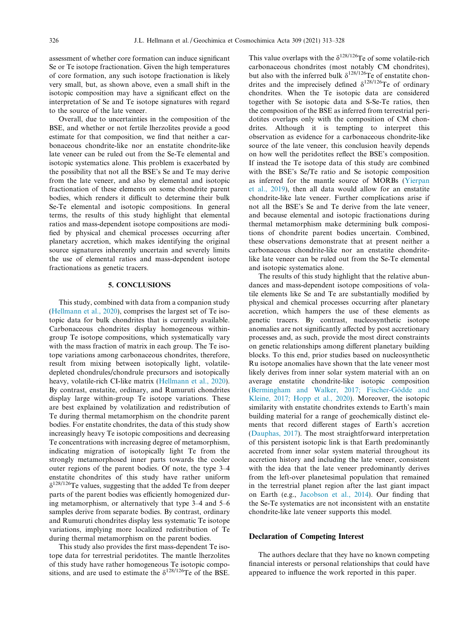assessment of whether core formation can induce significant Se or Te isotope fractionation. Given the high temperatures of core formation, any such isotope fractionation is likely very small, but, as shown above, even a small shift in the isotopic composition may have a significant effect on the interpretation of Se and Te isotope signatures with regard to the source of the late veneer.

Overall, due to uncertainties in the composition of the BSE, and whether or not fertile lherzolites provide a good estimate for that composition, we find that neither a carbonaceous chondrite-like nor an enstatite chondrite-like late veneer can be ruled out from the Se-Te elemental and isotopic systematics alone. This problem is exacerbated by the possibility that not all the BSE's Se and Te may derive from the late veneer, and also by elemental and isotopic fractionation of these elements on some chondrite parent bodies, which renders it difficult to determine their bulk Se-Te elemental and isotopic compositions. In general terms, the results of this study highlight that elemental ratios and mass-dependent isotope compositions are modified by physical and chemical processes occurring after planetary accretion, which makes identifying the original source signatures inherently uncertain and severely limits the use of elemental ratios and mass-dependent isotope fractionations as genetic tracers.

## 5. CONCLUSIONS

This study, combined with data from a companion study ([Hellmann et al., 2020](#page-14-0)), comprises the largest set of Te isotopic data for bulk chondrites that is currently available. Carbonaceous chondrites display homogeneous withingroup Te isotope compositions, which systematically vary with the mass fraction of matrix in each group. The Te isotope variations among carbonaceous chondrites, therefore, result from mixing between isotopically light, volatiledepleted chondrules/chondrule precursors and isotopically heavy, volatile-rich CI-like matrix ([Hellmann et al., 2020\)](#page-14-0). By contrast, enstatite, ordinary, and Rumuruti chondrites display large within-group Te isotope variations. These are best explained by volatilization and redistribution of Te during thermal metamorphism on the chondrite parent bodies. For enstatite chondrites, the data of this study show increasingly heavy Te isotopic compositions and decreasing Te concentrations with increasing degree of metamorphism, indicating migration of isotopically light Te from the strongly metamorphosed inner parts towards the cooler outer regions of the parent bodies. Of note, the type 3–4 enstatite chondrites of this study have rather uniform  $\delta^{128/126}$ Te values, suggesting that the added Te from deeper parts of the parent bodies was efficiently homogenized during metamorphism, or alternatively that type 3–4 and 5–6 samples derive from separate bodies. By contrast, ordinary and Rumuruti chondrites display less systematic Te isotope variations, implying more localized redistribution of Te during thermal metamorphism on the parent bodies.

This study also provides the first mass-dependent Te isotope data for terrestrial peridotites. The mantle lherzolites of this study have rather homogeneous Te isotopic compositions, and are used to estimate the  $\delta^{128/126}$ Te of the BSE.

This value overlaps with the  $\delta^{128/126}$ Te of some volatile-rich carbonaceous chondrites (most notably CM chondrites), but also with the inferred bulk  $\delta^{128/126}$ Te of enstatite chondrites and the imprecisely defined  $\delta^{128/126}$ Te of ordinary chondrites. When the Te isotopic data are considered together with Se isotopic data and S-Se-Te ratios, then the composition of the BSE as inferred from terrestrial peridotites overlaps only with the composition of CM chondrites. Although it is tempting to interpret this observation as evidence for a carbonaceous chondrite-like source of the late veneer, this conclusion heavily depends on how well the peridotites reflect the BSE's composition. If instead the Te isotope data of this study are combined with the BSE's Se/Te ratio and Se isotopic composition as inferred for the mantle source of MORBs ([Yierpan](#page-15-0) [et al., 2019](#page-15-0)), then all data would allow for an enstatite chondrite-like late veneer. Further complications arise if not all the BSE's Se and Te derive from the late veneer, and because elemental and isotopic fractionations during thermal metamorphism make determining bulk compositions of chondrite parent bodies uncertain. Combined, these observations demonstrate that at present neither a carbonaceous chondrite-like nor an enstatite chondritelike late veneer can be ruled out from the Se-Te elemental and isotopic systematics alone.

The results of this study highlight that the relative abundances and mass-dependent isotope compositions of volatile elements like Se and Te are substantially modified by physical and chemical processes occurring after planetary accretion, which hampers the use of these elements as genetic tracers. By contrast, nucleosynthetic isotope anomalies are not significantly affected by post accretionary processes and, as such, provide the most direct constraints on genetic relationships among different planetary building blocks. To this end, prior studies based on nucleosynthetic Ru isotope anomalies have shown that the late veneer most likely derives from inner solar system material with an on average enstatite chondrite-like isotopic composition (Bermingham and Walker, 2017; Fischer-Gödde and [Kleine, 2017; Hopp et al., 2020\)](#page-14-0). Moreover, the isotopic similarity with enstatite chondrites extends to Earth's main building material for a range of geochemically distinct elements that record different stages of Earth's accretion ([Dauphas, 2017](#page-14-0)). The most straightforward interpretation of this persistent isotopic link is that Earth predominantly accreted from inner solar system material throughout its accretion history and including the late veneer, consistent with the idea that the late veneer predominantly derives from the left-over planetesimal population that remained in the terrestrial planet region after the last giant impact on Earth (e.g., [Jacobson et al., 2014](#page-14-0)). Our finding that the Se-Te systematics are not inconsistent with an enstatite chondrite-like late veneer supports this model.

## Declaration of Competing Interest

The authors declare that they have no known competing financial interests or personal relationships that could have appeared to influence the work reported in this paper.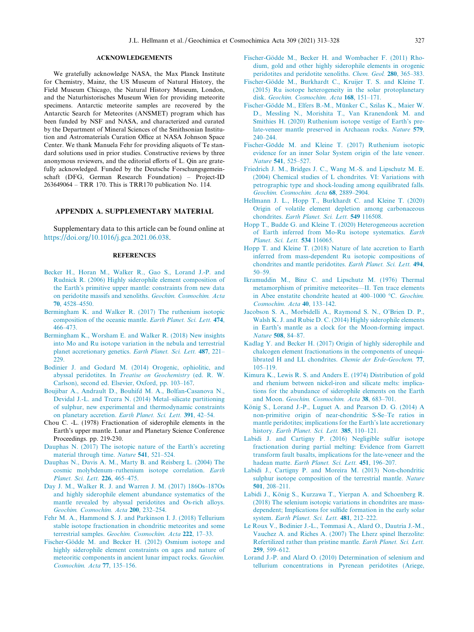#### ACKNOWLEDGEMENTS

<span id="page-14-0"></span>We gratefully acknowledge NASA, the Max Planck Institute for Chemistry, Mainz, the US Museum of Natural History, the Field Museum Chicago, the Natural History Museum, London, and the Naturhistorisches Museum Wien for providing meteorite specimens. Antarctic meteorite samples are recovered by the Antarctic Search for Meteorites (ANSMET) program which has been funded by NSF and NASA, and characterized and curated by the Department of Mineral Sciences of the Smithsonian Institution and Astromaterials Curation Office at NASA Johnson Space Center. We thank Manuela Fehr for providing aliquots of Te standard solutions used in prior studies. Constructive reviews by three anonymous reviewers, and the editorial efforts of L. Qin are gratefully acknowledged. Funded by the Deutsche Forschungsgemeinschaft (DFG, German Research Foundation) – Project-ID 263649064 – TRR 170. This is TRR170 publication No. 114.

## APPENDIX A. SUPPLEMENTARY MATERIAL

Supplementary data to this article can be found online at <https://doi.org/10.1016/j.gca.2021.06.038>.

## **REFERENCES**

- [Becker H., Horan M., Walker R., Gao S., Lorand J.-P. and](http://refhub.elsevier.com/S0016-7037(21)00396-3/h0005) [Rudnick R. \(2006\) Highly siderophile element composition of](http://refhub.elsevier.com/S0016-7037(21)00396-3/h0005) [the Earth's primitive upper mantle: constraints from new data](http://refhub.elsevier.com/S0016-7037(21)00396-3/h0005) [on peridotite massifs and xenoliths.](http://refhub.elsevier.com/S0016-7037(21)00396-3/h0005) Geochim. Cosmochim. Acta 70[, 4528–4550.](http://refhub.elsevier.com/S0016-7037(21)00396-3/h0005)
- [Bermingham K. and Walker R. \(2017\) The ruthenium isotopic](http://refhub.elsevier.com/S0016-7037(21)00396-3/h0010) [composition of the oceanic mantle.](http://refhub.elsevier.com/S0016-7037(21)00396-3/h0010) Earth Planet. Sci. Lett. 474, [466–473.](http://refhub.elsevier.com/S0016-7037(21)00396-3/h0010)
- [Bermingham K., Worsham E. and Walker R. \(2018\) New insights](http://refhub.elsevier.com/S0016-7037(21)00396-3/h0015) [into Mo and Ru isotope variation in the nebula and terrestrial](http://refhub.elsevier.com/S0016-7037(21)00396-3/h0015) [planet accretionary genetics.](http://refhub.elsevier.com/S0016-7037(21)00396-3/h0015) Earth Planet. Sci. Lett. 487, 221– [229.](http://refhub.elsevier.com/S0016-7037(21)00396-3/h0015)
- [Bodinier J. and Godard M. \(2014\) Orogenic, ophiolitic, and](http://refhub.elsevier.com/S0016-7037(21)00396-3/h0020) abyssal peridotites. In [Treatise on Geochemistry](http://refhub.elsevier.com/S0016-7037(21)00396-3/h0020) (ed. R. W. [Carlson\), second ed. Elsevier, Oxford, pp. 103–167](http://refhub.elsevier.com/S0016-7037(21)00396-3/h0020).
- [Boujibar A., Andrault D., Bouhifd M. A., Bolfan-Casanova N.,](http://refhub.elsevier.com/S0016-7037(21)00396-3/h0025) [Devidal J.-L. and Trcera N. \(2014\) Metal–silicate partitioning](http://refhub.elsevier.com/S0016-7037(21)00396-3/h0025) [of sulphur, new experimental and thermodynamic constraints](http://refhub.elsevier.com/S0016-7037(21)00396-3/h0025) [on planetary accretion.](http://refhub.elsevier.com/S0016-7037(21)00396-3/h0025) Earth Planet. Sci. Lett. 391, 42–54.
- Chou C. -L. (1978) Fractionation of siderophile elements in the Earth's upper mantle. Lunar and Planetary Science Conference Proceedings. pp. 219-230.
- [Dauphas N. \(2017\) The isotopic nature of the Earth's accreting](http://refhub.elsevier.com/S0016-7037(21)00396-3/h0035) [material through time.](http://refhub.elsevier.com/S0016-7037(21)00396-3/h0035) Nature 541, 521–524.
- [Dauphas N., Davis A. M., Marty B. and Reisberg L. \(2004\) The](http://refhub.elsevier.com/S0016-7037(21)00396-3/h0040) [cosmic molybdenum–ruthenium isotope correlation.](http://refhub.elsevier.com/S0016-7037(21)00396-3/h0040) Earth [Planet. Sci. Lett.](http://refhub.elsevier.com/S0016-7037(21)00396-3/h0040) 226, 465–475.
- [Day J. M., Walker R. J. and Warren J. M. \(2017\) 186Os–187Os](http://refhub.elsevier.com/S0016-7037(21)00396-3/h0045) [and highly siderophile element abundance systematics of the](http://refhub.elsevier.com/S0016-7037(21)00396-3/h0045) [mantle revealed by abyssal peridotites and Os-rich alloys.](http://refhub.elsevier.com/S0016-7037(21)00396-3/h0045) [Geochim. Cosmochim. Acta](http://refhub.elsevier.com/S0016-7037(21)00396-3/h0045) 200, 232–254.
- [Fehr M. A., Hammond S. J. and Parkinson I. J. \(2018\) Tellurium](http://refhub.elsevier.com/S0016-7037(21)00396-3/h0050) [stable isotope fractionation in chondritic meteorites and some](http://refhub.elsevier.com/S0016-7037(21)00396-3/h0050) terrestrial samples. [Geochim. Cosmochim. Acta](http://refhub.elsevier.com/S0016-7037(21)00396-3/h0050) 222, 17–33.
- Fischer-Gödde M. and Becker H. (2012) Osmium isotope and [highly siderophile element constraints on ages and nature of](http://refhub.elsevier.com/S0016-7037(21)00396-3/h0055) [meteoritic components in ancient lunar impact rocks.](http://refhub.elsevier.com/S0016-7037(21)00396-3/h0055) Geochim. [Cosmochim. Acta](http://refhub.elsevier.com/S0016-7037(21)00396-3/h0055) 77, 135–156.
- Fischer-Gödde M., Becker H. and Wombacher F. (2011) Rho[dium, gold and other highly siderophile elements in orogenic](http://refhub.elsevier.com/S0016-7037(21)00396-3/h0060) [peridotites and peridotite xenoliths.](http://refhub.elsevier.com/S0016-7037(21)00396-3/h0060) Chem. Geol. 280, 365–383.
- Fischer-Gödde M., Burkhardt C., Kruijer T. S. and Kleine T. [\(2015\) Ru isotope heterogeneity in the solar protoplanetary](http://refhub.elsevier.com/S0016-7037(21)00396-3/h0065) disk. [Geochim. Cosmochim. Acta](http://refhub.elsevier.com/S0016-7037(21)00396-3/h0065) 168, 151–171.
- Fischer-Gödde M., Elfers B.-M., Münker C., Szilas K., Maier W. [D., Messling N., Morishita T., Van Kranendonk M. and](http://refhub.elsevier.com/S0016-7037(21)00396-3/h0070) [Smithies H. \(2020\) Ruthenium isotope vestige of Earth's pre](http://refhub.elsevier.com/S0016-7037(21)00396-3/h0070)[late-veneer mantle preserved in Archaean rocks.](http://refhub.elsevier.com/S0016-7037(21)00396-3/h0070) Nature 579, [240–244.](http://refhub.elsevier.com/S0016-7037(21)00396-3/h0070)
- Fischer-Gödde M. and Kleine T. (2017) Ruthenium isotopic [evidence for an inner Solar System origin of the late veneer.](http://refhub.elsevier.com/S0016-7037(21)00396-3/h0075) Nature 541[, 525–527.](http://refhub.elsevier.com/S0016-7037(21)00396-3/h0075)
- [Friedrich J. M., Bridges J. C., Wang M.-S. and Lipschutz M. E.](http://refhub.elsevier.com/S0016-7037(21)00396-3/h0080) [\(2004\) Chemical studies of L chondrites. VI: Variations with](http://refhub.elsevier.com/S0016-7037(21)00396-3/h0080) [petrographic type and shock-loading among equilibrated falls.](http://refhub.elsevier.com/S0016-7037(21)00396-3/h0080) [Geochim. Cosmochim. Acta](http://refhub.elsevier.com/S0016-7037(21)00396-3/h0080) 68, 2889–2904.
- [Hellmann J. L., Hopp T., Burkhardt C. and Kleine T. \(2020\)](http://refhub.elsevier.com/S0016-7037(21)00396-3/h0085) [Origin of volatile element depletion among carbonaceous](http://refhub.elsevier.com/S0016-7037(21)00396-3/h0085) chondrites. [Earth Planet. Sci. Lett.](http://refhub.elsevier.com/S0016-7037(21)00396-3/h0085) 549 116508.
- [Hopp T., Budde G. and Kleine T. \(2020\) Heterogeneous accretion](http://refhub.elsevier.com/S0016-7037(21)00396-3/h0090) [of Earth inferred from Mo-Ru isotope systematics.](http://refhub.elsevier.com/S0016-7037(21)00396-3/h0090) Earth [Planet. Sci. Lett.](http://refhub.elsevier.com/S0016-7037(21)00396-3/h0090) 534 116065.
- [Hopp T. and Kleine T. \(2018\) Nature of late accretion to Earth](http://refhub.elsevier.com/S0016-7037(21)00396-3/h0095) [inferred from mass-dependent Ru isotopic compositions of](http://refhub.elsevier.com/S0016-7037(21)00396-3/h0095) [chondrites and mantle peridotites.](http://refhub.elsevier.com/S0016-7037(21)00396-3/h0095) Earth Planet. Sci. Lett. 494, [50–59.](http://refhub.elsevier.com/S0016-7037(21)00396-3/h0095)
- [Ikramuddin M., Binz C. and Lipschutz M. \(1976\) Thermal](http://refhub.elsevier.com/S0016-7037(21)00396-3/h0100) [metamorphism of primitive meteorites—II. Ten trace elements](http://refhub.elsevier.com/S0016-7037(21)00396-3/h0100) in Abee enstatite chondrite heated at 400-1000 °C. Geochim. [Cosmochim. Acta](http://refhub.elsevier.com/S0016-7037(21)00396-3/h0100) 40, 133–142.
- [Jacobson S. A., Morbidelli A., Raymond S. N., O'Brien D. P.,](http://refhub.elsevier.com/S0016-7037(21)00396-3/h0105) [Walsh K. J. and Rubie D. C. \(2014\) Highly siderophile elements](http://refhub.elsevier.com/S0016-7037(21)00396-3/h0105) [in Earth's mantle as a clock for the Moon-forming impact.](http://refhub.elsevier.com/S0016-7037(21)00396-3/h0105) Nature 508[, 84–87.](http://refhub.elsevier.com/S0016-7037(21)00396-3/h0105)
- [Kadlag Y. and Becker H. \(2017\) Origin of highly siderophile and](http://refhub.elsevier.com/S0016-7037(21)00396-3/h0110) [chalcogen element fractionations in the components of unequi](http://refhub.elsevier.com/S0016-7037(21)00396-3/h0110)[librated H and LL chondrites.](http://refhub.elsevier.com/S0016-7037(21)00396-3/h0110) Chemie der Erde-Geochem. 77, [105–119.](http://refhub.elsevier.com/S0016-7037(21)00396-3/h0110)
- [Kimura K., Lewis R. S. and Anders E. \(1974\) Distribution of gold](http://refhub.elsevier.com/S0016-7037(21)00396-3/h0115) [and rhenium between nickel-iron and silicate melts: implica](http://refhub.elsevier.com/S0016-7037(21)00396-3/h0115)[tions for the abundance of siderophile elements on the Earth](http://refhub.elsevier.com/S0016-7037(21)00396-3/h0115) and Moon. [Geochim. Cosmochim. Acta](http://refhub.elsevier.com/S0016-7037(21)00396-3/h0115) 38, 683–701.
- König S., Lorand J.-P., Luguet A. and Pearson D. G. (2014) A [non-primitive origin of near-chondritic S-Se–Te ratios in](http://refhub.elsevier.com/S0016-7037(21)00396-3/h0120) [mantle peridotites; implications for the Earth's late accretionary](http://refhub.elsevier.com/S0016-7037(21)00396-3/h0120) history. [Earth Planet. Sci. Lett.](http://refhub.elsevier.com/S0016-7037(21)00396-3/h0120) 385, 110-121.
- [Labidi J. and Cartigny P. \(2016\) Negligible sulfur isotope](http://refhub.elsevier.com/S0016-7037(21)00396-3/h0125) [fractionation during partial melting: Evidence from Garrett](http://refhub.elsevier.com/S0016-7037(21)00396-3/h0125) [transform fault basalts, implications for the late-veneer and the](http://refhub.elsevier.com/S0016-7037(21)00396-3/h0125) hadean matte. [Earth Planet. Sci. Lett.](http://refhub.elsevier.com/S0016-7037(21)00396-3/h0125) 451, 196-207.
- [Labidi J., Cartigny P. and Moreira M. \(2013\) Non-chondritic](http://refhub.elsevier.com/S0016-7037(21)00396-3/h0130) [sulphur isotope composition of the terrestrial mantle.](http://refhub.elsevier.com/S0016-7037(21)00396-3/h0130) Nature 501[, 208–211.](http://refhub.elsevier.com/S0016-7037(21)00396-3/h0130)
- Labidi J., König S., Kurzawa T., Yierpan A. and Schoenberg R. [\(2018\) The selenium isotopic variations in chondrites are mass](http://refhub.elsevier.com/S0016-7037(21)00396-3/h0135)[dependent; Implications for sulfide formation in the early solar](http://refhub.elsevier.com/S0016-7037(21)00396-3/h0135) system. [Earth Planet. Sci. Lett.](http://refhub.elsevier.com/S0016-7037(21)00396-3/h0135) 481, 212–222.
- [Le Roux V., Bodinier J.-L., Tommasi A., Alard O., Dautria J.-M.,](http://refhub.elsevier.com/S0016-7037(21)00396-3/h0140) [Vauchez A. and Riches A. \(2007\) The Lherz spinel lherzolite:](http://refhub.elsevier.com/S0016-7037(21)00396-3/h0140) [Refertilized rather than pristine mantle.](http://refhub.elsevier.com/S0016-7037(21)00396-3/h0140) Earth Planet. Sci. Lett. 259[, 599–612.](http://refhub.elsevier.com/S0016-7037(21)00396-3/h0140)
- [Lorand J.-P. and Alard O. \(2010\) Determination of selenium and](http://refhub.elsevier.com/S0016-7037(21)00396-3/h0145) [tellurium concentrations in Pyrenean peridotites \(Ariege,](http://refhub.elsevier.com/S0016-7037(21)00396-3/h0145)